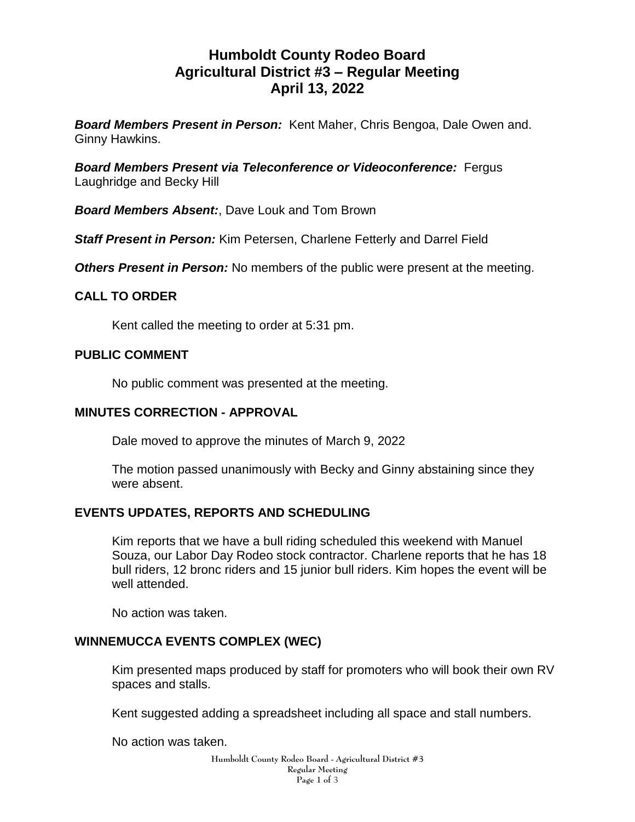# **Humboldt County Rodeo Board Agricultural District #3 – Regular Meeting April 13, 2022**

*Board Members Present in Person:* Kent Maher, Chris Bengoa, Dale Owen and. Ginny Hawkins.

*Board Members Present via Teleconference or Videoconference:* Fergus Laughridge and Becky Hill

*Board Members Absent:*, Dave Louk and Tom Brown

*Staff Present in Person:* Kim Petersen, Charlene Fetterly and Darrel Field

*Others Present in Person:* No members of the public were present at the meeting.

## **CALL TO ORDER**

Kent called the meeting to order at 5:31 pm.

## **PUBLIC COMMENT**

No public comment was presented at the meeting.

#### **MINUTES CORRECTION - APPROVAL**

Dale moved to approve the minutes of March 9, 2022

The motion passed unanimously with Becky and Ginny abstaining since they were absent.

# **EVENTS UPDATES, REPORTS AND SCHEDULING**

Kim reports that we have a bull riding scheduled this weekend with Manuel Souza, our Labor Day Rodeo stock contractor. Charlene reports that he has 18 bull riders, 12 bronc riders and 15 junior bull riders. Kim hopes the event will be well attended.

No action was taken.

# **WINNEMUCCA EVENTS COMPLEX (WEC)**

Kim presented maps produced by staff for promoters who will book their own RV spaces and stalls.

Kent suggested adding a spreadsheet including all space and stall numbers.

No action was taken.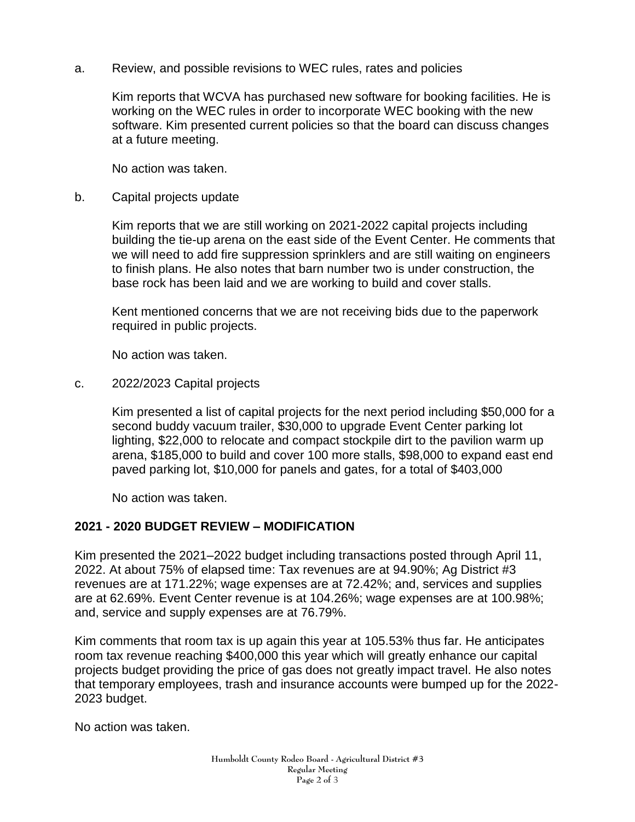a. Review, and possible revisions to WEC rules, rates and policies

Kim reports that WCVA has purchased new software for booking facilities. He is working on the WEC rules in order to incorporate WEC booking with the new software. Kim presented current policies so that the board can discuss changes at a future meeting.

No action was taken.

b. Capital projects update

Kim reports that we are still working on 2021-2022 capital projects including building the tie-up arena on the east side of the Event Center. He comments that we will need to add fire suppression sprinklers and are still waiting on engineers to finish plans. He also notes that barn number two is under construction, the base rock has been laid and we are working to build and cover stalls.

Kent mentioned concerns that we are not receiving bids due to the paperwork required in public projects.

No action was taken.

c. 2022/2023 Capital projects

Kim presented a list of capital projects for the next period including \$50,000 for a second buddy vacuum trailer, \$30,000 to upgrade Event Center parking lot lighting, \$22,000 to relocate and compact stockpile dirt to the pavilion warm up arena, \$185,000 to build and cover 100 more stalls, \$98,000 to expand east end paved parking lot, \$10,000 for panels and gates, for a total of \$403,000

No action was taken.

#### **2021 - 2020 BUDGET REVIEW – MODIFICATION**

Kim presented the 2021–2022 budget including transactions posted through April 11, 2022. At about 75% of elapsed time: Tax revenues are at 94.90%; Ag District #3 revenues are at 171.22%; wage expenses are at 72.42%; and, services and supplies are at 62.69%. Event Center revenue is at 104.26%; wage expenses are at 100.98%; and, service and supply expenses are at 76.79%.

Kim comments that room tax is up again this year at 105.53% thus far. He anticipates room tax revenue reaching \$400,000 this year which will greatly enhance our capital projects budget providing the price of gas does not greatly impact travel. He also notes that temporary employees, trash and insurance accounts were bumped up for the 2022- 2023 budget.

No action was taken.